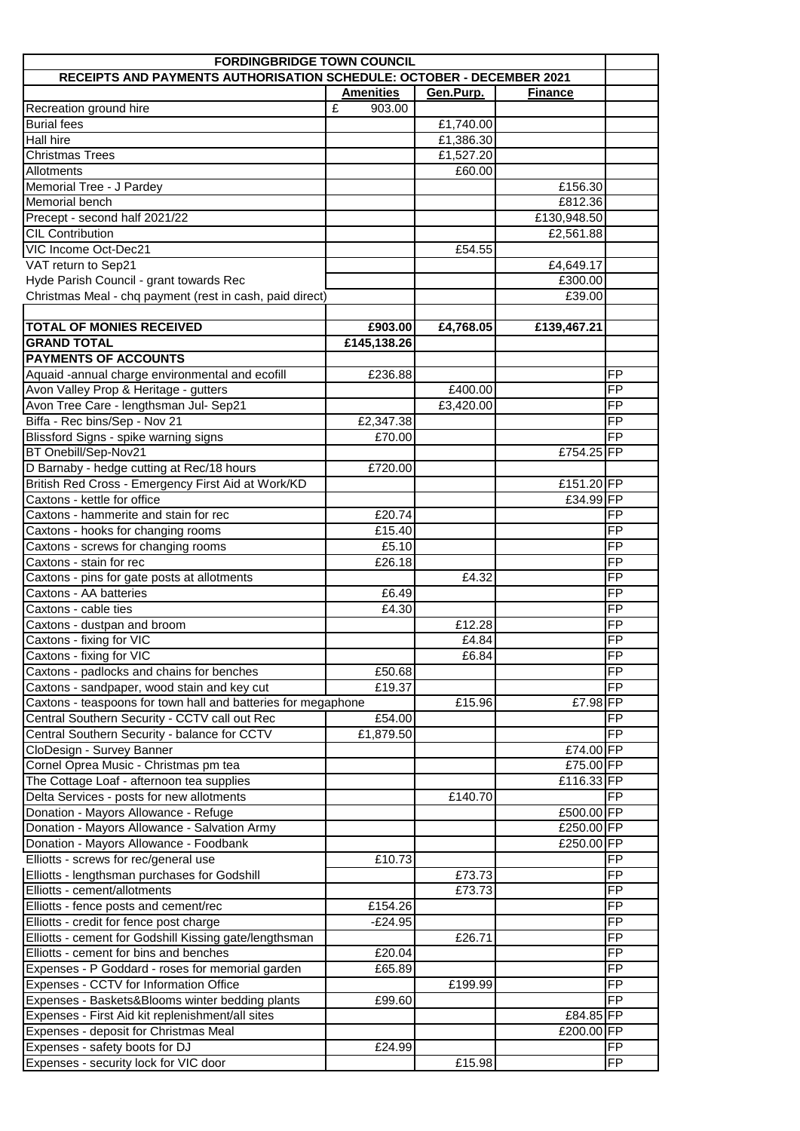| <b>FORDINGBRIDGE TOWN COUNCIL</b>                                     |                  |           |                |                 |  |  |
|-----------------------------------------------------------------------|------------------|-----------|----------------|-----------------|--|--|
| RECEIPTS AND PAYMENTS AUTHORISATION SCHEDULE: OCTOBER - DECEMBER 2021 |                  |           |                |                 |  |  |
|                                                                       | <b>Amenities</b> | Gen.Purp. | <b>Finance</b> |                 |  |  |
| Recreation ground hire                                                | £<br>903.00      |           |                |                 |  |  |
| <b>Burial fees</b>                                                    |                  | £1,740.00 |                |                 |  |  |
| Hall hire                                                             |                  | £1,386.30 |                |                 |  |  |
| <b>Christmas Trees</b>                                                |                  | £1,527.20 |                |                 |  |  |
| Allotments                                                            |                  | £60.00    |                |                 |  |  |
| Memorial Tree - J Pardey                                              |                  |           | £156.30        |                 |  |  |
| Memorial bench                                                        |                  |           | £812.36        |                 |  |  |
| Precept - second half 2021/22                                         |                  |           | £130,948.50    |                 |  |  |
| <b>CIL Contribution</b>                                               |                  |           | £2,561.88      |                 |  |  |
| VIC Income Oct-Dec21                                                  |                  | £54.55    |                |                 |  |  |
| VAT return to Sep21                                                   |                  |           | £4,649.17      |                 |  |  |
| Hyde Parish Council - grant towards Rec                               |                  |           | £300.00        |                 |  |  |
| Christmas Meal - chq payment (rest in cash, paid direct)              |                  |           | £39.00         |                 |  |  |
|                                                                       |                  |           |                |                 |  |  |
| <b>TOTAL OF MONIES RECEIVED</b>                                       | £903.00          | £4,768.05 | £139,467.21    |                 |  |  |
| <b>GRAND TOTAL</b>                                                    | £145,138.26      |           |                |                 |  |  |
| <b>PAYMENTS OF ACCOUNTS</b>                                           |                  |           |                |                 |  |  |
| Aquaid -annual charge environmental and ecofill                       | £236.88          |           |                | <b>FP</b>       |  |  |
| Avon Valley Prop & Heritage - gutters                                 |                  | £400.00   |                | <b>FP</b>       |  |  |
| Avon Tree Care - lengthsman Jul- Sep21                                |                  | £3,420.00 |                | <b>FP</b>       |  |  |
| Biffa - Rec bins/Sep - Nov 21                                         | £2,347.38        |           |                | <b>FP</b>       |  |  |
| Blissford Signs - spike warning signs                                 | £70.00           |           |                | <b>FP</b>       |  |  |
| BT Onebill/Sep-Nov21                                                  |                  |           | £754.25 FP     |                 |  |  |
| D Barnaby - hedge cutting at Rec/18 hours                             | £720.00          |           |                |                 |  |  |
| British Red Cross - Emergency First Aid at Work/KD                    |                  |           | £151.20 FP     |                 |  |  |
| Caxtons - kettle for office                                           |                  |           | £34.99 FP      |                 |  |  |
| Caxtons - hammerite and stain for rec                                 | £20.74           |           |                | <b>FP</b>       |  |  |
| Caxtons - hooks for changing rooms                                    | £15.40           |           |                | <b>FP</b>       |  |  |
| Caxtons - screws for changing rooms                                   | £5.10            |           |                | FP              |  |  |
| Caxtons - stain for rec                                               | £26.18           |           |                | $\overline{FP}$ |  |  |
| Caxtons - pins for gate posts at allotments                           |                  | £4.32     |                | $\overline{FP}$ |  |  |
| Caxtons - AA batteries                                                | £6.49            |           |                | <b>FP</b>       |  |  |
| Caxtons - cable ties                                                  | £4.30            |           |                | $\overline{FP}$ |  |  |
| Caxtons - dustpan and broom                                           |                  | £12.28    |                | $\overline{FP}$ |  |  |
| Caxtons - fixing for VIC                                              |                  | £4.84     |                | <b>FP</b>       |  |  |
| Caxtons - fixing for VIC                                              |                  | £6.84     |                | FP              |  |  |
| Caxtons - padlocks and chains for benches                             | £50.68           |           |                | <b>FP</b>       |  |  |
| Caxtons - sandpaper, wood stain and key cut                           | £19.37           |           |                | <b>FP</b>       |  |  |
| Caxtons - teaspoons for town hall and batteries for megaphone         |                  | £15.96    | £7.98 FP       |                 |  |  |
| Central Southern Security - CCTV call out Rec                         | £54.00           |           |                | <b>FP</b>       |  |  |
| Central Southern Security - balance for CCTV                          | £1,879.50        |           |                | FP              |  |  |
| CloDesign - Survey Banner                                             |                  |           | £74.00 FP      |                 |  |  |
| Cornel Oprea Music - Christmas pm tea                                 |                  |           | £75.00 FP      |                 |  |  |
| The Cottage Loaf - afternoon tea supplies                             |                  |           | £116.33 FP     |                 |  |  |
| Delta Services - posts for new allotments                             |                  | £140.70   |                | <b>FP</b>       |  |  |
| Donation - Mayors Allowance - Refuge                                  |                  |           | £500.00 FP     |                 |  |  |
| Donation - Mayors Allowance - Salvation Army                          |                  |           | £250.00 FP     |                 |  |  |
| Donation - Mayors Allowance - Foodbank                                |                  |           | £250.00 FP     |                 |  |  |
| Elliotts - screws for rec/general use                                 | £10.73           |           |                | <b>FP</b>       |  |  |
| Elliotts - lengthsman purchases for Godshill                          |                  | £73.73    |                | <b>FP</b>       |  |  |
| Elliotts - cement/allotments                                          |                  | £73.73    |                | <b>FP</b>       |  |  |
| Elliotts - fence posts and cement/rec                                 | £154.26          |           |                | $\overline{FP}$ |  |  |
| Elliotts - credit for fence post charge                               | $-E24.95$        |           |                | <b>FP</b>       |  |  |
| Elliotts - cement for Godshill Kissing gate/lengthsman                |                  | £26.71    |                | <b>FP</b>       |  |  |
| Elliotts - cement for bins and benches                                | £20.04           |           |                | <b>FP</b>       |  |  |
| Expenses - P Goddard - roses for memorial garden                      | £65.89           |           |                | <b>FP</b>       |  |  |
| Expenses - CCTV for Information Office                                |                  | £199.99   |                | <b>FP</b>       |  |  |
| Expenses - Baskets&Blooms winter bedding plants                       | £99.60           |           |                | FP              |  |  |
| Expenses - First Aid kit replenishment/all sites                      |                  |           | £84.85 FP      |                 |  |  |
| Expenses - deposit for Christmas Meal                                 |                  |           | £200.00 FP     |                 |  |  |
| Expenses - safety boots for DJ                                        | £24.99           |           |                | FP              |  |  |
| Expenses - security lock for VIC door                                 |                  | £15.98    |                | FP              |  |  |
|                                                                       |                  |           |                |                 |  |  |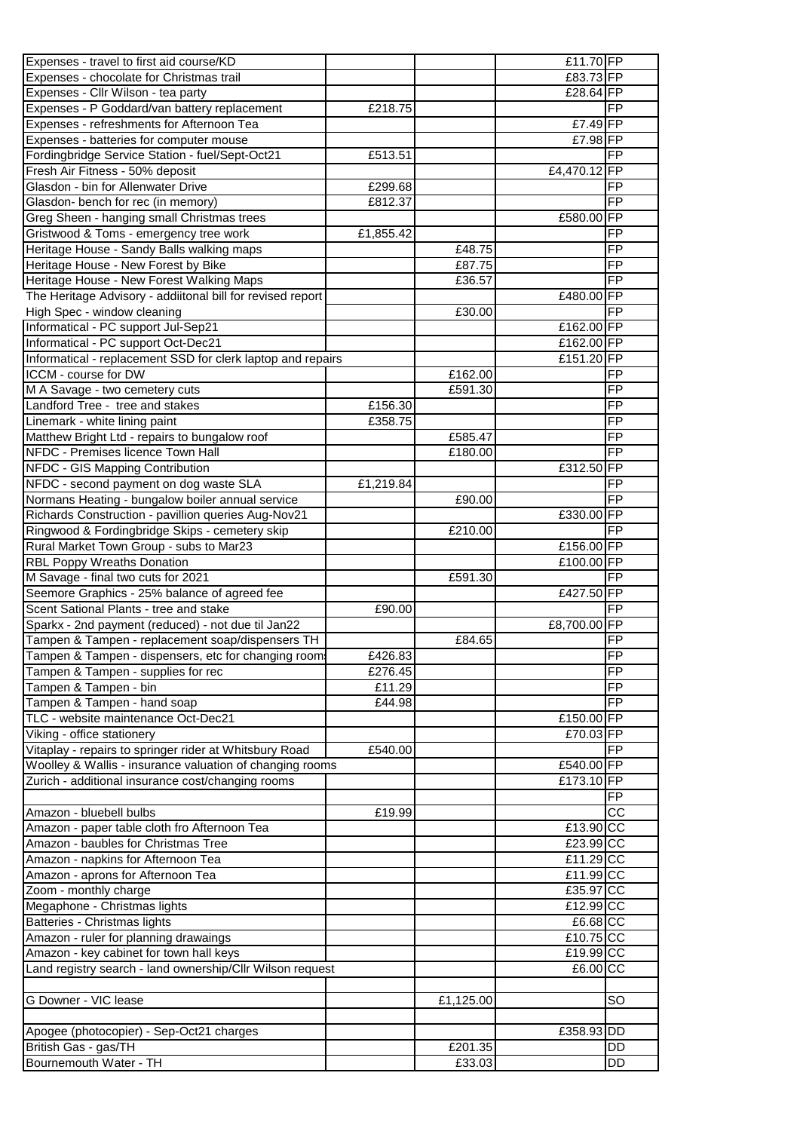| Expenses - travel to first aid course/KD                                                   |           |           | £11.70 FP    |                 |
|--------------------------------------------------------------------------------------------|-----------|-----------|--------------|-----------------|
| Expenses - chocolate for Christmas trail                                                   |           |           | £83.73 FP    |                 |
| Expenses - Cllr Wilson - tea party                                                         |           |           | £28.64 FP    |                 |
| Expenses - P Goddard/van battery replacement                                               | £218.75   |           |              | <b>FP</b>       |
| Expenses - refreshments for Afternoon Tea                                                  |           |           | £7.49 FP     |                 |
| Expenses - batteries for computer mouse                                                    |           |           | £7.98 FP     |                 |
| Fordingbridge Service Station - fuel/Sept-Oct21                                            | £513.51   |           |              | <b>FP</b>       |
| Fresh Air Fitness - 50% deposit                                                            |           |           | £4,470.12 FP |                 |
| Glasdon - bin for Allenwater Drive                                                         | £299.68   |           |              | <b>FP</b>       |
| Glasdon- bench for rec (in memory)                                                         | £812.37   |           |              | <b>FP</b>       |
| Greg Sheen - hanging small Christmas trees                                                 |           |           | £580.00 FP   |                 |
| Gristwood & Toms - emergency tree work                                                     | £1,855.42 |           |              | <b>FP</b>       |
| Heritage House - Sandy Balls walking maps                                                  |           | £48.75    |              | <b>FP</b>       |
| Heritage House - New Forest by Bike                                                        |           | £87.75    |              | <b>FP</b>       |
| Heritage House - New Forest Walking Maps                                                   |           | £36.57    |              | FP              |
| The Heritage Advisory - addiitonal bill for revised report                                 |           |           | £480.00 FP   |                 |
| High Spec - window cleaning                                                                |           | £30.00    |              | <b>FP</b>       |
| Informatical - PC support Jul-Sep21                                                        |           |           | £162.00 FP   |                 |
| Informatical - PC support Oct-Dec21                                                        |           |           | £162.00 FP   |                 |
| Informatical - replacement SSD for clerk laptop and repairs                                |           |           | £151.20 FP   |                 |
| ICCM - course for DW                                                                       |           | £162.00   |              | <b>FP</b>       |
| M A Savage - two cemetery cuts                                                             |           | £591.30   |              | <b>FP</b>       |
| Landford Tree - tree and stakes                                                            | £156.30   |           |              | <b>FP</b>       |
| Linemark - white lining paint                                                              | £358.75   |           |              | <b>FP</b>       |
| Matthew Bright Ltd - repairs to bungalow roof                                              |           | £585.47   |              | <b>FP</b>       |
| NFDC - Premises licence Town Hall                                                          |           | £180.00   |              | <b>FP</b>       |
| NFDC - GIS Mapping Contribution                                                            |           |           | £312.50 FP   |                 |
| NFDC - second payment on dog waste SLA<br>Normans Heating - bungalow boiler annual service | £1,219.84 | £90.00    |              | FP<br><b>FP</b> |
| Richards Construction - pavillion queries Aug-Nov21                                        |           |           | £330.00 FP   |                 |
| Ringwood & Fordingbridge Skips - cemetery skip                                             |           | £210.00   |              | <b>FP</b>       |
| Rural Market Town Group - subs to Mar23                                                    |           |           | £156.00 FP   |                 |
| <b>RBL Poppy Wreaths Donation</b>                                                          |           |           | £100.00 FP   |                 |
| M Savage - final two cuts for 2021                                                         |           | £591.30   |              | <b>FP</b>       |
| Seemore Graphics - 25% balance of agreed fee                                               |           |           | £427.50 FP   |                 |
| Scent Sational Plants - tree and stake                                                     | £90.00    |           |              | <b>FP</b>       |
| Sparkx - 2nd payment (reduced) - not due til Jan22                                         |           |           | £8,700.00 FP |                 |
| Tampen & Tampen - replacement soap/dispensers TH                                           |           | £84.65    |              | <b>FP</b>       |
| Tampen & Tampen - dispensers, etc for changing room.                                       | £426.83   |           |              | FP              |
| Tampen & Tampen - supplies for rec                                                         | £276.45   |           |              | $\overline{FP}$ |
| Tampen & Tampen - bin                                                                      | £11.29    |           |              | <b>FP</b>       |
| Tampen & Tampen - hand soap                                                                | £44.98    |           |              | <b>FP</b>       |
| TLC - website maintenance Oct-Dec21                                                        |           |           | £150.00 FP   |                 |
| Viking - office stationery                                                                 |           |           | £70.03 FP    |                 |
| Vitaplay - repairs to springer rider at Whitsbury Road                                     | £540.00   |           |              | FP.             |
| Woolley & Wallis - insurance valuation of changing rooms                                   |           |           | £540.00 FP   |                 |
| Zurich - additional insurance cost/changing rooms                                          |           |           | £173.10 FP   |                 |
|                                                                                            |           |           |              | FP              |
| Amazon - bluebell bulbs                                                                    | £19.99    |           |              | CC              |
| Amazon - paper table cloth fro Afternoon Tea                                               |           |           | £13.90 CC    |                 |
| Amazon - baubles for Christmas Tree                                                        |           |           | £23.99 CC    |                 |
| Amazon - napkins for Afternoon Tea                                                         |           |           | £11.29 CC    |                 |
| Amazon - aprons for Afternoon Tea                                                          |           |           | £11.99 CC    |                 |
| Zoom - monthly charge                                                                      |           |           | £35.97 CC    |                 |
| Megaphone - Christmas lights                                                               |           |           | £12.99 CC    |                 |
| Batteries - Christmas lights                                                               |           |           | £6.68 CC     |                 |
| Amazon - ruler for planning drawaings                                                      |           |           | £10.75 CC    |                 |
| Amazon - key cabinet for town hall keys                                                    |           |           | £19.99 CC    |                 |
| Land registry search - land ownership/Cllr Wilson request                                  |           |           | £6.00 CC     |                 |
|                                                                                            |           |           |              |                 |
| G Downer - VIC lease                                                                       |           | £1,125.00 |              | SO              |
|                                                                                            |           |           |              |                 |
| Apogee (photocopier) - Sep-Oct21 charges                                                   |           |           | £358.93 DD   |                 |
| British Gas - gas/TH                                                                       |           | £201.35   |              | DD              |
| Bournemouth Water - TH                                                                     |           | £33.03    |              | DD              |